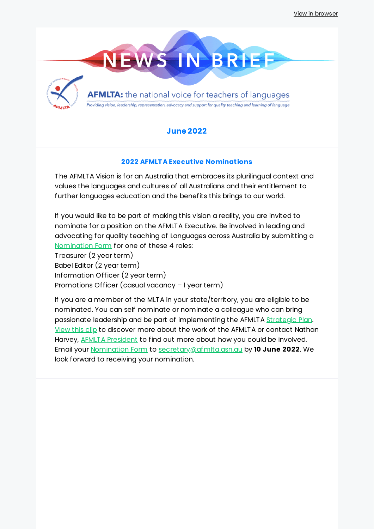

## **June 2022**

## **2022 AFMLTA Executive Nominations**

The AFMLTA Vision is for an Australia that embraces its plurilingual context and values the languages and cultures of all Australians and their entitlement to further languages education and the benefits this brings to our world.

If you would like to be part of making this vision a reality, you are invited to nominate for a position on the AFMLTA Executive. Be involved in leading and advocating for quality teaching of Languages across Australia by submitting a [Nomination](https://docs.google.com/document/d/1Wxg2hupdFvK0Xu0EFeH4hnJ_IeYpsoPa/edit?usp=sharing&ouid=109102280981085992053&rtpof=true&sd=true) Form for one of these 4 roles:

Treasurer (2 year term) Babel Editor (2 year term) Information Officer (2 year term) Promotions Officer (casual vacancy – 1 year term)

If you are a member of the MLTA in your state/territory, you are eligible to be nominated. You can self nominate or nominate a colleague who can bring passionate leadership and be part of implementing the AFMLTA [Strategic](https://afmlta.asn.au/wp-content/uploads/2022/02/AFMLTA-Strategic-Plan-2022-24-HiRes.pdf) Plan. [View](https://player.vimeo.com/video/525929956?dnt=1&app_id=122963) this clip to discover more about the work of the AFMLTA or contact Nathan Harvey, **AFMLTA [President](mailto:president@afmlta.asn.au)** to find out more about how you could be involved. Email your [Nomination](https://docs.google.com/document/d/1Wxg2hupdFvK0Xu0EFeH4hnJ_IeYpsoPa/edit?usp=sharing&ouid=109102280981085992053&rtpof=true&sd=true) Form to [secretary@afmlta.asn.au](mailto:secretary@afmlta.asn.au) by **10 June 2022**. We look forward to receiving your nomination.